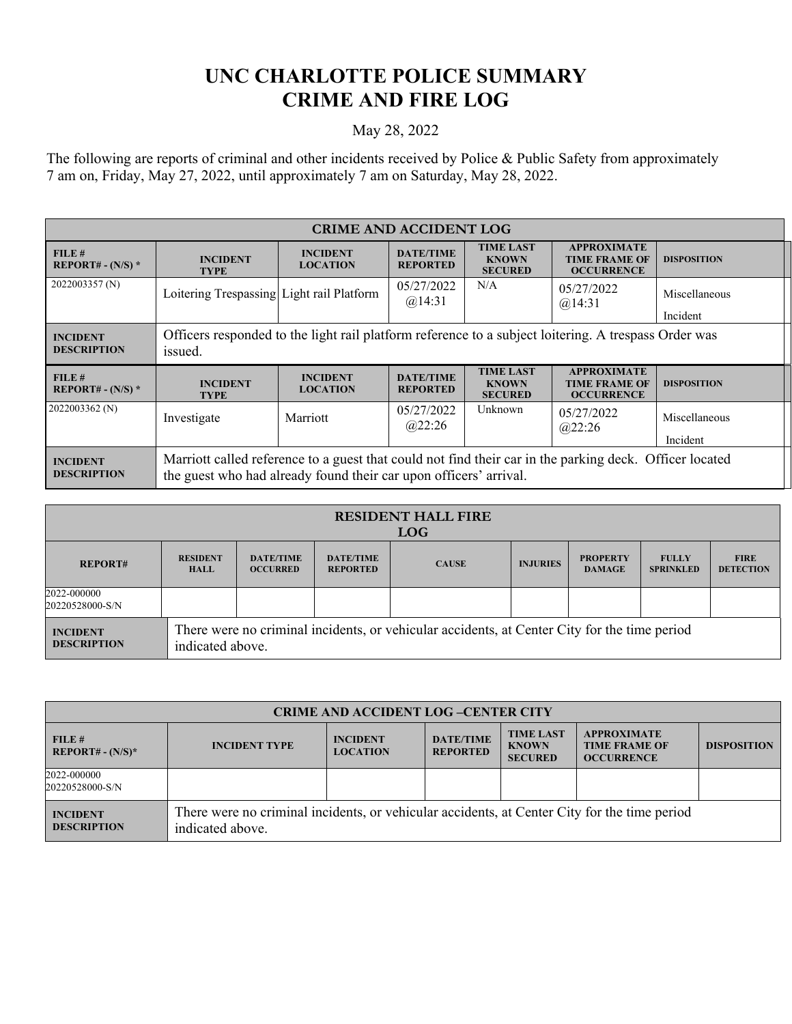## **UNC CHARLOTTE POLICE SUMMARY CRIME AND FIRE LOG**

## May 28, 2022

The following are reports of criminal and other incidents received by Police & Public Safety from approximately 7 am on, Friday, May 27, 2022, until approximately 7 am on Saturday, May 28, 2022.

| <b>CRIME AND ACCIDENT LOG</b>         |                                                                                                                 |                                    |                                     |                                                    |                                                                 |                           |  |
|---------------------------------------|-----------------------------------------------------------------------------------------------------------------|------------------------------------|-------------------------------------|----------------------------------------------------|-----------------------------------------------------------------|---------------------------|--|
| FILE#<br>REPORT# - $(N/S)$ *          | <b>INCIDENT</b><br><b>TYPE</b>                                                                                  | <b>INCIDENT</b><br><b>LOCATION</b> | <b>DATE/TIME</b><br><b>REPORTED</b> | <b>TIME LAST</b><br><b>KNOWN</b><br><b>SECURED</b> | <b>APPROXIMATE</b><br><b>TIME FRAME OF</b><br><b>OCCURRENCE</b> | <b>DISPOSITION</b>        |  |
| 2022003357 (N)                        | Loitering Trespassing Light rail Platform                                                                       |                                    | 05/27/2022<br>@14:31                | N/A                                                | 05/27/2022<br>@14:31                                            | Miscellaneous<br>Incident |  |
| <b>INCIDENT</b><br><b>DESCRIPTION</b> | Officers responded to the light rail platform reference to a subject loitering. A trespass Order was<br>issued. |                                    |                                     |                                                    |                                                                 |                           |  |
|                                       |                                                                                                                 |                                    |                                     | <b>TIME LAST</b>                                   | <b>APPROXIMATE</b>                                              |                           |  |
| FILE#<br>REPORT# - $(N/S)$ *          | <b>INCIDENT</b><br><b>TYPE</b>                                                                                  | <b>INCIDENT</b><br><b>LOCATION</b> | <b>DATE/TIME</b><br><b>REPORTED</b> | <b>KNOWN</b><br><b>SECURED</b>                     | <b>TIME FRAME OF</b><br><b>OCCURRENCE</b>                       | <b>DISPOSITION</b>        |  |
|                                       | Investigate                                                                                                     | Marriott                           | 05/27/2022<br>(a)22:26              | Unknown                                            | 05/27/2022<br>@22:26                                            | Miscellaneous             |  |
| 2022003362 (N)                        |                                                                                                                 |                                    |                                     |                                                    |                                                                 | Incident                  |  |

| <b>RESIDENT HALL FIRE</b><br><b>LOG</b> |                                                                                                                  |                                     |                                     |              |                 |                                  |                                  |                                 |
|-----------------------------------------|------------------------------------------------------------------------------------------------------------------|-------------------------------------|-------------------------------------|--------------|-----------------|----------------------------------|----------------------------------|---------------------------------|
| <b>REPORT#</b>                          | <b>RESIDENT</b><br><b>HALL</b>                                                                                   | <b>DATE/TIME</b><br><b>OCCURRED</b> | <b>DATE/TIME</b><br><b>REPORTED</b> | <b>CAUSE</b> | <b>INJURIES</b> | <b>PROPERTY</b><br><b>DAMAGE</b> | <b>FULLY</b><br><b>SPRINKLED</b> | <b>FIRE</b><br><b>DETECTION</b> |
| 2022-000000<br>20220528000-S/N          |                                                                                                                  |                                     |                                     |              |                 |                                  |                                  |                                 |
| <b>INCIDENT</b><br><b>DESCRIPTION</b>   | There were no criminal incidents, or vehicular accidents, at Center City for the time period<br>indicated above. |                                     |                                     |              |                 |                                  |                                  |                                 |

| <b>CRIME AND ACCIDENT LOG-CENTER CITY</b> |                                                                                                                  |                                    |                                     |                                                    |                                                                 |                    |
|-------------------------------------------|------------------------------------------------------------------------------------------------------------------|------------------------------------|-------------------------------------|----------------------------------------------------|-----------------------------------------------------------------|--------------------|
| FILE#<br>$REPORT# - (N/S)*$               | <b>INCIDENT TYPE</b>                                                                                             | <b>INCIDENT</b><br><b>LOCATION</b> | <b>DATE/TIME</b><br><b>REPORTED</b> | <b>TIME LAST</b><br><b>KNOWN</b><br><b>SECURED</b> | <b>APPROXIMATE</b><br><b>TIME FRAME OF</b><br><b>OCCURRENCE</b> | <b>DISPOSITION</b> |
| 2022-000000<br>20220528000-S/N            |                                                                                                                  |                                    |                                     |                                                    |                                                                 |                    |
| <b>INCIDENT</b><br><b>DESCRIPTION</b>     | There were no criminal incidents, or vehicular accidents, at Center City for the time period<br>indicated above. |                                    |                                     |                                                    |                                                                 |                    |